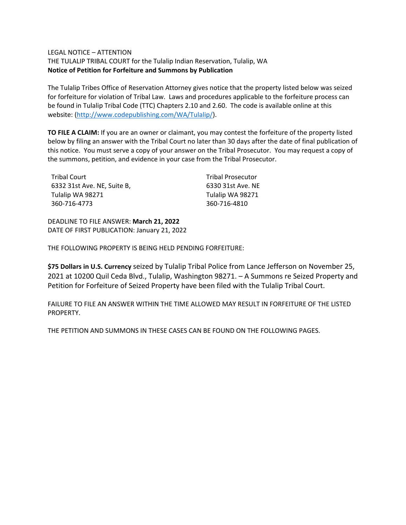### LEGAL NOTICE – ATTENTION

THE TULALIP TRIBAL COURT for the Tulalip Indian Reservation, Tulalip, WA **Notice of Petition for Forfeiture and Summons by Publication**

The Tulalip Tribes Office of Reservation Attorney gives notice that the property listed below was seized for forfeiture for violation of Tribal Law. Laws and procedures applicable to the forfeiture process can be found in Tulalip Tribal Code (TTC) Chapters 2.10 and 2.60. The code is available online at this website: [\(http://www.codepublishing.com/WA/Tulalip/\)](http://www.codepublishing.com/WA/Tulalip/).

**TO FILE A CLAIM:** If you are an owner or claimant, you may contest the forfeiture of the property listed below by filing an answer with the Tribal Court no later than 30 days after the date of final publication of this notice. You must serve a copy of your answer on the Tribal Prosecutor. You may request a copy of the summons, petition, and evidence in your case from the Tribal Prosecutor.

| Tribal Court                | <b>Tribal Prosecutor</b> |
|-----------------------------|--------------------------|
| 6332 31st Ave. NE. Suite B. | 6330 31st Ave. NE        |
| Tulalip WA 98271            | Tulalip WA 98271         |
| 360-716-4773                | 360-716-4810             |

DEADLINE TO FILE ANSWER: **March 21, 2022** DATE OF FIRST PUBLICATION: January 21, 2022

THE FOLLOWING PROPERTY IS BEING HELD PENDING FORFEITURE:

**\$75 Dollars in U.S. Currency** seized by Tulalip Tribal Police from Lance Jefferson on November 25, 2021 at 10200 Quil Ceda Blvd., Tulalip, Washington 98271. – A Summons re Seized Property and Petition for Forfeiture of Seized Property have been filed with the Tulalip Tribal Court.

FAILURE TO FILE AN ANSWER WITHIN THE TIME ALLOWED MAY RESULT IN FORFEITURE OF THE LISTED PROPERTY.

THE PETITION AND SUMMONS IN THESE CASES CAN BE FOUND ON THE FOLLOWING PAGES.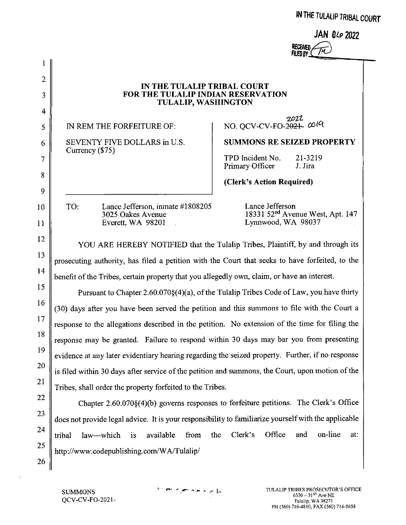|  |  |  |  | av IHE TULALIP TRIBAL COURT |  |  |
|--|--|--|--|-----------------------------|--|--|
|--|--|--|--|-----------------------------|--|--|

|                            | JAN $0\omega$ 2022 |  |
|----------------------------|--------------------|--|
|                            |                    |  |
| RECEIVED<br>FILED BY (THT) |                    |  |

 $2.2.2.2.2$ 

**Allen Albert College** 

### IN THE TULALIP TRIBAL COURT FOR THE TULALIP INDIAN RESERVATION **TULALIP, WASHINGTON**

IN REM THE FORFEITURE OF:

 $\mathbf{1}$ 

 $\overline{2}$ 

3

 $\overline{4}$ 

5

6

 $\overline{7}$ 

8

9

10

11

12

13

14

15

16

17

18

19

20

21

22

23

24

25

26

SEVENTY FIVE DOLLARS in U.S. Currency (\$75)

2022 NO. QCV-CV-FO-2021- 0019

**SUMMONS RE SEIZED PROPERTY** 

TPD Incident No. 21-3219 Primary Officer J. Jira

(Clerk's Action Required)

Lance Jefferson. inmate #1808205 TO: 3025 Oakes Avenue Everett, WA 98201

Lance Jefferson 18331 52<sup>nd</sup> Avenue West, Apt. 147 Lynnwood, WA 98037

YOU ARE HEREBY NOTIFIED that the Tulalip Tribes, Plaintiff, by and through its prosecuting authority, has filed a petition with the Court that seeks to have forfeited, to the benefit of the Tribes, certain property that you allegedly own, claim, or have an interest.

Pursuant to Chapter 2.60.070§(4)(a), of the Tulalip Tribes Code of Law, you have thirty (30) days after you have been served the petition and this summons to file with the Court a response to the allegations described in the petition. No extension of the time for filing the response may be granted. Failure to respond within 30 days may bar you from presenting evidence at any later evidentiary hearing regarding the seized property. Further, if no response is filed within 30 days after service of the petition and summons, the Court, upon motion of the Tribes, shall order the property forfeited to the Tribes.

Chapter 2.60.070§(4)(b) governs responses to forfeiture petitions. The Clerk's Office does not provide legal advice. It is your responsibility to familiarize yourself with the applicable Office on-line available from the Clerk's and at: tribal law—which is http://www.codepublishing.com/WA/Tulalip/

**SUMMONS** OCV-CV-FO-2021 $^\circ$  en symmetric la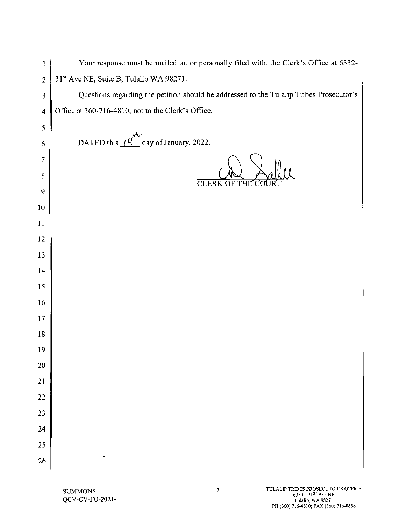| 1                       | Your response must be mailed to, or personally filed with, the Clerk's Office at 6332-  |
|-------------------------|-----------------------------------------------------------------------------------------|
| $\overline{2}$          | 31 <sup>st</sup> Ave NE, Suite B, Tulalip WA 98271.                                     |
| 3                       | Questions regarding the petition should be addressed to the Tulalip Tribes Prosecutor's |
| $\overline{\mathbf{4}}$ | Office at 360-716-4810, not to the Clerk's Office.                                      |
| 5                       |                                                                                         |
| 6                       | DATED this $(4^{\circ})$ day of January, 2022.                                          |
| $\tau$                  |                                                                                         |
| $\boldsymbol{8}$        | <b>CLERK OF THE</b>                                                                     |
| 9                       |                                                                                         |
| 10                      |                                                                                         |
| 11                      |                                                                                         |
| 12                      |                                                                                         |
| 13                      |                                                                                         |
| 14                      |                                                                                         |
| 15                      |                                                                                         |
| 16                      |                                                                                         |
| 17                      |                                                                                         |
| 18                      |                                                                                         |
| 19                      |                                                                                         |
| 20                      |                                                                                         |
| 21                      |                                                                                         |
| 22                      |                                                                                         |
| 23                      |                                                                                         |
| 24                      |                                                                                         |
| 25                      |                                                                                         |
| 26                      |                                                                                         |

 $\epsilon$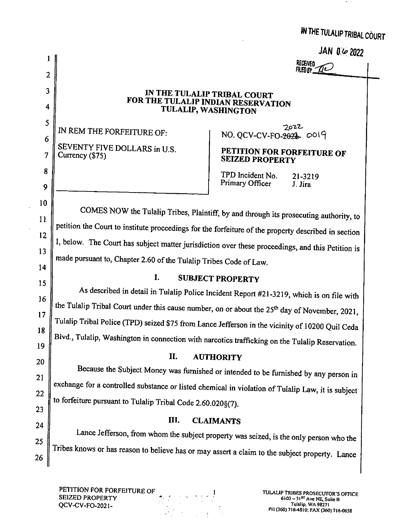|  |  | IN THE TULALIP TRIBAL COURT |  |  |
|--|--|-----------------------------|--|--|
|--|--|-----------------------------|--|--|

JAN 0 6 2022

| Received                   |  |
|----------------------------|--|
| $\mathcal{U}$<br>FILED BY. |  |
|                            |  |

# IN THE TULALIP TRIBAL COURT FOR THE TULALIP INDIAN RESERVATION TULALIP, WASHINGTON

IN REM THE FORFEITURE OF: SEVENTY FIVE DOLLARS in U.S. Currency (\$75)

 $\mathbf{1}$ 

 $\overline{2}$ 

 $\overline{\mathbf{3}}$ 

4

5

6

 $\overline{7}$ 

8

9

10

11

12

13

14

15

16

 $17$ 

18

19

20

21

22

23

24

25

26

 $2022$  $NO. QCV-CV-FO-2024. CO19$ 

# PETITION FOR FORFEITURE OF **SEIZED PROPERTY**

TPD Incident No. 21-3219 Primary Officer J. Jira

COMES NOW the Tulalip Tribes, Plaintiff, by and through its prosecuting authority, to petition the Court to institute proceedings for the forfeiture of the property described in section I, below. The Court has subject matter jurisdiction over these proceedings, and this Petition is made pursuant to, Chapter 2.60 of the Tulalip Tribes Code of Law.

### $\mathbf{I}$ . **SUBJECT PROPERTY**

As described in detail in Tulalip Police Incident Report #21-3219, which is on file with the Tulalip Tribal Court under this cause number, on or about the 25<sup>th</sup> day of November, 2021, Tulalip Tribal Police (TPD) seized \$75 from Lance Jefferson in the vicinity of 10200 Quil Ceda Blvd., Tulalip, Washington in connection with narcotics trafficking on the Tulalip Reservation.

### II. **AUTHORITY**

Because the Subject Money was furnished or intended to be furnished by any person in exchange for a controlled substance or listed chemical in violation of Tulalip Law, it is subject to forfeiture pursuant to Tulalip Tribal Code 2.60.020§(7).

### III. **CLAIMANTS**

Lance Jefferson, from whom the subject property was seized, is the only person who the Tribes knows or has reason to believe has or may assert a claim to the subject property. Lance

PETITION FOR FORFEITURE OF **SEIZED PROPERTY** QCV-CV-FO-2021-